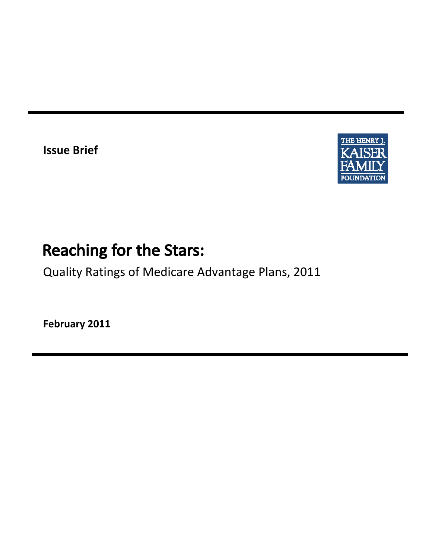**Issue Brief**



# **Reaching for the Stars:**

Quality Ratings of Medicare Advantage Plans, 2011

**February 2011**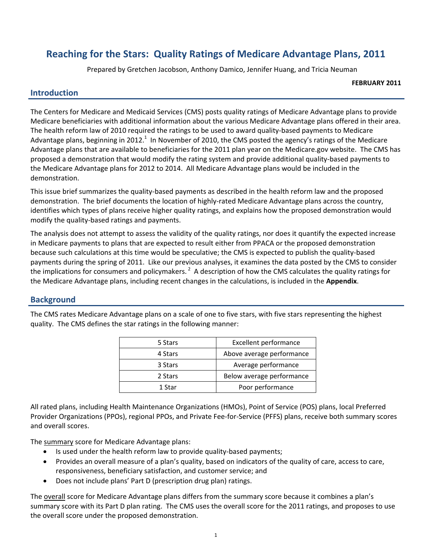# **Reaching for the Stars: Quality Ratings of Medicare Advantage Plans, 2011**

Prepared by Gretchen Jacobson, Anthony Damico, Jennifer Huang, and Tricia Neuman

#### **FEBRUARY 2011**

#### **Introduction**

The Centers for Medicare and Medicaid Services (CMS) posts quality ratings of Medicare Advantage plans to provide Medicare beneficiaries with additional information about the various Medicare Advantage plans offered in their area. The health reform law of 2010 required the ratings to be used to award quality-based payments to Medicare Advantage plans, beginning in 2012.<sup>1</sup> In November of 2010, the CMS posted the agency's ratings of the Medicare Advantage plans that are available to beneficiaries for the 2011 plan year on the Medicare.gov website. The CMS has proposed a demonstration that would modify the rating system and provide additional quality‐based payments to the Medicare Advantage plans for 2012 to 2014. All Medicare Advantage plans would be included in the demonstration.

This issue brief summarizes the quality‐based payments as described in the health reform law and the proposed demonstration. The brief documents the location of highly-rated Medicare Advantage plans across the country, identifies which types of plans receive higher quality ratings, and explains how the proposed demonstration would modify the quality‐based ratings and payments.

The analysis does not attempt to assess the validity of the quality ratings, nor does it quantify the expected increase in Medicare payments to plans that are expected to result either from PPACA or the proposed demonstration because such calculations at this time would be speculative; the CMS is expected to publish the quality-based payments during the spring of 2011. Like our previous analyses, it examines the data posted by the CMS to consider the implications for consumers and policymakers.<sup>2</sup> A description of how the CMS calculates the quality ratings for the Medicare Advantage plans, including recent changes in the calculations, is included in the **Appendix**.

#### **Background**

The CMS rates Medicare Advantage plans on a scale of one to five stars, with five stars representing the highest quality. The CMS defines the star ratings in the following manner:

| 5 Stars | <b>Excellent performance</b> |
|---------|------------------------------|
| 4 Stars | Above average performance    |
| 3 Stars | Average performance          |
| 2 Stars | Below average performance    |
| 1 Star  | Poor performance             |

All rated plans, including Health Maintenance Organizations (HMOs), Point of Service (POS) plans, local Preferred Provider Organizations (PPOs), regional PPOs, and Private Fee‐for‐Service (PFFS) plans, receive both summary scores and overall scores.

The summary score for Medicare Advantage plans:

- Is used under the health reform law to provide quality-based payments;
- Provides an overall measure of a plan's quality, based on indicators of the quality of care, access to care, responsiveness, beneficiary satisfaction, and customer service; and
- Does not include plans' Part D (prescription drug plan) ratings.

The overall score for Medicare Advantage plans differs from the summary score because it combines a plan's summary score with its Part D plan rating. The CMS uses the overall score for the 2011 ratings, and proposes to use the overall score under the proposed demonstration.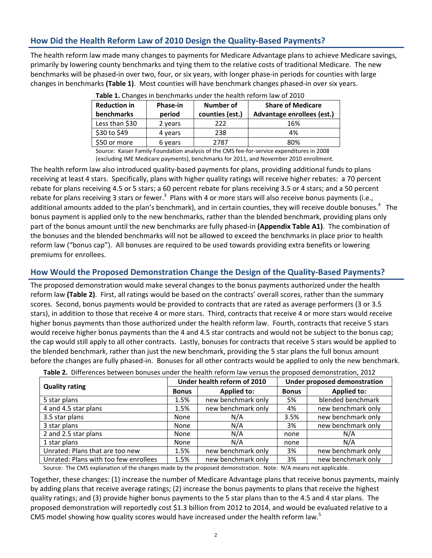# **How Did the Health Reform Law of 2010 Design the Quality‐Based Payments?**

The health reform law made many changes to payments for Medicare Advantage plans to achieve Medicare savings, primarily by lowering county benchmarks and tying them to the relative costs of traditional Medicare. The new benchmarks will be phased‐in over two, four, or six years, with longer phase‐in periods for counties with large changes in benchmarks **(Table 1)**. Most counties will have benchmark changes phased‐in over six years.

|                     |          |                  | <b>TUBIC II</b> CHUIRCS III DCHUIHIUINS UNUCL UIC HCUIUI ICIOIIII IUW OI LOID |
|---------------------|----------|------------------|-------------------------------------------------------------------------------|
| <b>Reduction in</b> | Phase-in | <b>Number of</b> | <b>Share of Medicare</b>                                                      |
| <b>benchmarks</b>   | period   | counties (est.)  | Advantage enrollees (est.)                                                    |
| Less than \$30      | 2 years  | 222              | 16%                                                                           |
| \$30 to \$49        | 4 years  | 238              | 4%                                                                            |
| \$50 or more        | 6 years  | 2787             | 80%                                                                           |

**Table 1.** Changes in benchmarks under the health reform law of 2010

Source: Kaiser Family Foundation analysis of the CMS fee‐for‐service expenditures in 2008 (excluding IME Medicare payments), benchmarks for 2011, and November 2010 enrollment.

The health reform law also introduced quality‐based payments for plans, providing additional funds to plans receiving at least 4 stars. Specifically, plans with higher quality ratings will receive higher rebates: a 70 percent rebate for plans receiving 4.5 or 5 stars; a 60 percent rebate for plans receiving 3.5 or 4 stars; and a 50 percent rebate for plans receiving 3 stars or fewer.<sup>3</sup> Plans with 4 or more stars will also receive bonus payments (i.e., additional amounts added to the plan's benchmark), and in certain counties, they will receive double bonuses.<sup>4</sup> The bonus payment is applied only to the new benchmarks, rather than the blended benchmark, providing plans only part of the bonus amount until the new benchmarks are fully phased‐in **(Appendix Table A1)**. The combination of the bonuses and the blended benchmarks will not be allowed to exceed the benchmarks in place prior to health reform law ("bonus cap"). All bonuses are required to be used towards providing extra benefits or lowering premiums for enrollees.

#### **How Would the Proposed Demonstration Change the Design of the Quality‐Based Payments?**

The proposed demonstration would make several changes to the bonus payments authorized under the health reform law **(Table 2)**. First, all ratings would be based on the contracts' overall scores, rather than the summary scores. Second, bonus payments would be provided to contracts that are rated as average performers (3 or 3.5 stars), in addition to those that receive 4 or more stars. Third, contracts that receive 4 or more stars would receive higher bonus payments than those authorized under the health reform law. Fourth, contracts that receive 5 stars would receive higher bonus payments than the 4 and 4.5 star contracts and would not be subject to the bonus cap; the cap would still apply to all other contracts. Lastly, bonuses for contracts that receive 5 stars would be applied to the blended benchmark, rather than just the new benchmark, providing the 5 star plans the full bonus amount before the changes are fully phased‐in. Bonuses for all other contracts would be applied to only the new benchmark.

| <b>Quality rating</b>                                                                                                                                                                                                          |              | Under health reform of 2010 |              | <b>Under proposed demonstration</b> |
|--------------------------------------------------------------------------------------------------------------------------------------------------------------------------------------------------------------------------------|--------------|-----------------------------|--------------|-------------------------------------|
|                                                                                                                                                                                                                                | <b>Bonus</b> | <b>Applied to:</b>          | <b>Bonus</b> | <b>Applied to:</b>                  |
| 5 star plans                                                                                                                                                                                                                   | 1.5%         | new benchmark only          | 5%           | blended benchmark                   |
| 4 and 4.5 star plans                                                                                                                                                                                                           | 1.5%         | new benchmark only          | 4%           | new benchmark only                  |
| 3.5 star plans                                                                                                                                                                                                                 | None         | N/A                         | 3.5%         | new benchmark only                  |
| 3 star plans                                                                                                                                                                                                                   | None         | N/A                         | 3%           | new benchmark only                  |
| 2 and 2.5 star plans                                                                                                                                                                                                           | None         | N/A                         | none         | N/A                                 |
| 1 star plans                                                                                                                                                                                                                   | None         | N/A                         | none         | N/A                                 |
| Unrated: Plans that are too new                                                                                                                                                                                                | 1.5%         | new benchmark only          | 3%           | new benchmark only                  |
| Unrated: Plans with too few enrollees                                                                                                                                                                                          | 1.5%         | new benchmark only          | 3%           | new benchmark only                  |
| اللاطان وأرد والمناسب التارين والمتحاصر المتحاصر والمتحاصر والمستحرق والمستحرق والمستحرق والمستحرق والمستحرق والمستحرق والمستحرق والمستحرق والمستحرق والمستحرق والمستحرق والمستحرق والمستحرق والمستحرق والمستحرق والمستحرق وال |              |                             |              |                                     |

**Table 2.** Differences between bonuses under the health reform law versus the proposed demonstration, 2012

Source: The CMS explanation of the changes made by the proposed demonstration. Note: N/A means not applicable.

Together, these changes: (1) increase the number of Medicare Advantage plans that receive bonus payments, mainly by adding plans that receive average ratings; (2) increase the bonus payments to plans that receive the highest quality ratings; and (3) provide higher bonus payments to the 5 star plans than to the 4.5 and 4 star plans. The proposed demonstration will reportedly cost \$1.3 billion from 2012 to 2014, and would be evaluated relative to a CMS model showing how quality scores would have increased under the health reform law.<sup>5</sup>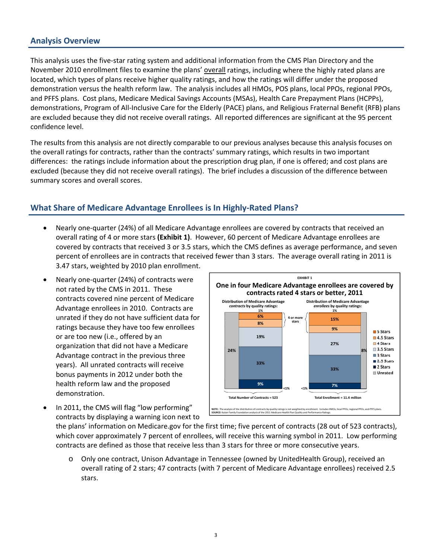#### **Analysis Overview**

 This analysis uses the five‐star rating system and additional information from the CMS Plan Directory and the November 2010 enrollment files to examine the plans' overall ratings, including where the highly rated plans are located, which types of plans receive higher quality ratings, and how the ratings will differ under the proposed demonstration versus the health reform law. The analysis includes all HMOs, POS plans, local PPOs, regional PPOs, and PFFS plans. Cost plans, Medicare Medical Savings Accounts (MSAs), Health Care Prepayment Plans (HCPPs), demonstrations, Program of All‐Inclusive Care for the Elderly (PACE) plans, and Religious Fraternal Benefit (RFB) plans are excluded because they did not receive overall ratings. All reported differences are significant at the 95 percent confidence level.

The results from this analysis are not directly comparable to our previous analyses because this analysis focuses on the overall ratings for contracts, rather than the contracts' summary ratings, which results in two important differences: the ratings include information about the prescription drug plan, if one is offered; and cost plans are excluded (because they did not receive overall ratings). The brief includes a discussion of the difference between summary scores and overall scores.

#### **What Share of Medicare Advantage Enrollees is In Highly‐Rated Plans?**

- Nearly one-quarter (24%) of all Medicare Advantage enrollees are covered by contracts that received an overall rating of 4 or more stars **(Exhibit 1)**. However, 60 percent of Medicare Advantage enrollees are covered by contracts that received 3 or 3.5 stars, which the CMS defines as average performance, and seven percent of enrollees are in contracts that received fewer than 3 stars. The average overall rating in 2011 is 3.47 stars, weighted by 2010 plan enrollment.
- Nearly one-quarter (24%) of contracts were not rated by the CMS in 2011. These contracts covered nine percent of Medicare Advantage enrollees in 2010. Contracts are unrated if they do not have sufficient data for ratings because they have too few enrollees or are too new (i.e., offered by an organization that did not have a Medicare Advantage contract in the previous three years). All unrated contracts will receive bonus payments in 2012 under both the health reform law and the proposed demonstration.



 In 2011, the CMS will flag "low performing" contracts by displaying a warning icon next to

the plans' information on Medicare.gov for the first time; five percent of contracts (28 out of 523 contracts), which cover approximately 7 percent of enrollees, will receive this warning symbol in 2011. Low performing contracts are defined as those that receive less than 3 stars for three or more consecutive years.

o Only one contract, Unison Advantage in Tennessee (owned by UnitedHealth Group), received an overall rating of 2 stars; 47 contracts (with 7 percent of Medicare Advantage enrollees) received 2.5 stars.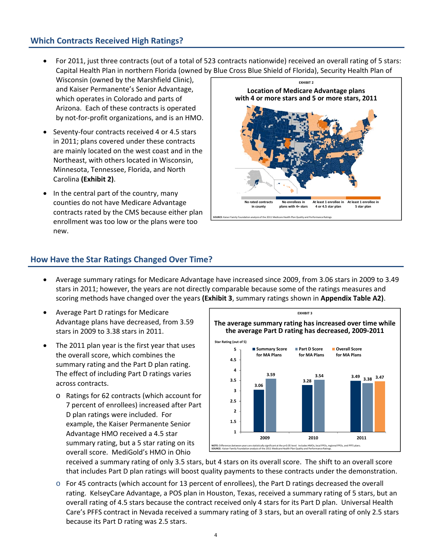### **Which Contracts Received High Ratings?**

- For 2011, just three contracts (out of a total of 523 contracts nationwide) received an overall rating of 5 stars: Capital Health Plan in northern Florida (owned by Blue Cross Blue Shield of Florida), Security Health Plan of
- Wisconsin (owned by the Marshfield Clinic), and Kaiser Permanente's Senior Advantage, which operates in Colorado and parts of Arizona. Each of these contracts is operated by not‐for‐profit organizations, and is an HMO.
- Seventy-four contracts received 4 or 4.5 stars in 2011; plans covered under these contracts are mainly located on the west coast and in the Northeast, with others located in Wisconsin, Minnesota, Tennessee, Florida, and North Carolina **(Exhibit 2)**.
- In the central part of the country, many counties do not have Medicare Advantage contracts rated by the CMS because either plan enrollment was too low or the plans were too new.



#### **How Have the Star Ratings Changed Over Time?**

- Average summary ratings for Medicare Advantage have increased since 2009, from 3.06 stars in 2009 to 3.49 stars in 2011; however, the years are not directly comparable because some of the ratings measures and scoring methods have changed over the years **(Exhibit 3**, summary ratings shown in **Appendix Table A2)**.
- Average Part D ratings for Medicare Advantage plans have decreased, from 3.59 stars in 2009 to 3.38 stars in 2011.
- The 2011 plan year is the first year that uses the overall score, which combines the summary rating and the Part D plan rating. The effect of including Part D ratings varies across contracts.
	- o Ratings for 62 contracts (which account for 7 percent of enrollees) increased after Part D plan ratings were included. For example, the Kaiser Permanente Senior Advantage HMO received a 4.5 star summary rating, but a 5 star rating on its overall score. MediGold's HMO in Ohio



received a summary rating of only 3.5 stars, but 4 stars on its overall score. The shift to an overall score that includes Part D plan ratings will boost quality payments to these contracts under the demonstration.

o For 45 contracts (which account for 13 percent of enrollees), the Part D ratings decreased the overall rating. KelseyCare Advantage, a POS plan in Houston, Texas, received a summary rating of 5 stars, but an overall rating of 4.5 stars because the contract received only 4 stars for its Part D plan. Universal Health Care's PFFS contract in Nevada received a summary rating of 3 stars, but an overall rating of only 2.5 stars because its Part D rating was 2.5 stars.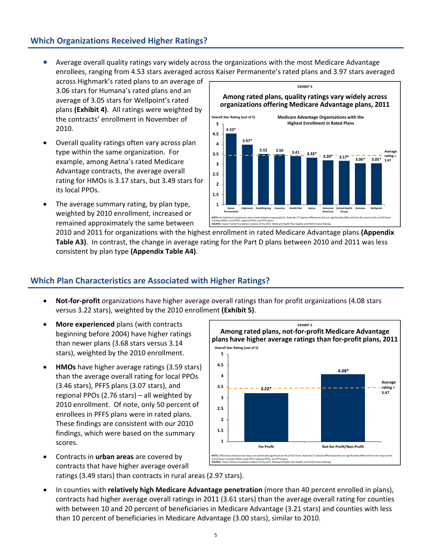## **Which Organizations Received Higher Ratings?**

 Average overall quality ratings vary widely across the organizations with the most Medicare Advantage enrollees, ranging from 4.53 stars averaged across Kaiser Permanente's rated plans and 3.97 stars averaged

across Highmark's rated plans to an average of 3.06 stars for Humana's rated plans and an average of 3.05 stars for Wellpoint's rated plans **(Exhibit 4)**. All ratings were weighted by the contracts' enrollment in November of 2010.

- Overall quality ratings often vary across plan type within the same organization. For example, among Aetna's rated Medicare Advantage contracts, the average overall rating for HMOs is 3.17 stars, but 3.49 stars for its local PPOs.
- The average summary rating, by plan type, weighted by 2010 enrollment, increased or remained approximately the same between



2010 and 2011 for organizations with the highest enrollment in rated Medicare Advantage plans **(Appendix Table A3)**. In contrast, the change in average rating for the Part D plans between 2010 and 2011 was less consistent by plan type **(Appendix Table A4)**.

#### **Which Plan Characteristics are Associated with Higher Ratings?**

- **Not‐for‐profit** organizations have higher average overall ratings than for profit organizations (4.08 stars versus 3.22 stars), weighted by the 2010 enrollment **(Exhibit 5)**.
- **More experienced** plans (with contracts beginning before 2004) have higher ratings than newer plans (3.68 stars versus 3.14 stars), weighted by the 2010 enrollment.
- **HMOs** have higher average ratings (3.59 stars) than the average overall rating for local PPOs (3.46 stars), PFFS plans (3.07 stars), and regional PPOs (2.76 stars) – all weighted by 2010 enrollment. Of note, only 50 percent of enrollees in PFFS plans were in rated plans. These findings are consistent with our 2010 findings, which were based on the summary scores.



- Contracts in **urban areas** are covered by contracts that have higher average overall ratings (3.49 stars) than contracts in rural areas (2.97 stars).
- In counties with **relatively high Medicare Advantage penetration** (more than 40 percent enrolled in plans), contracts had higher average overall ratings in 2011 (3.61 stars) than the average overall rating for counties with between 10 and 20 percent of beneficiaries in Medicare Advantage (3.21 stars) and counties with less than 10 percent of beneficiaries in Medicare Advantage (3.00 stars), similar to 2010.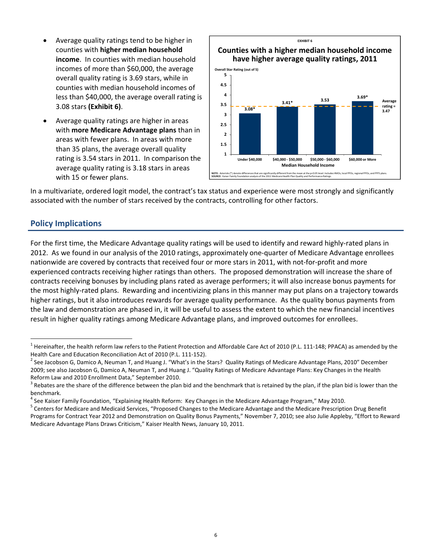- Average quality ratings tend to be higher in counties with **higher median household income**. In counties with median household incomes of more than \$60,000, the average overall quality rating is 3.69 stars, while in counties with median household incomes of less than \$40,000, the average overall rating is 3.08 stars **(Exhibit 6)**.
- Average quality ratings are higher in areas with **more Medicare Advantage plans** than in areas with fewer plans. In areas with more than 35 plans, the average overall quality rating is 3.54 stars in 2011. In comparison the average quality rating is 3.18 stars in areas with 15 or fewer plans.



In a multivariate, ordered logit model, the contract's tax status and experience were most strongly and significantly associated with the number of stars received by the contracts, controlling for other factors.

#### **Policy Implications**

 $\overline{a}$ 

For the first time, the Medicare Advantage quality ratings will be used to identify and reward highly‐rated plans in 2012. As we found in our analysis of the 2010 ratings, approximately one‐quarter of Medicare Advantage enrollees nationwide are covered by contracts that received four or more stars in 2011, with not-for-profit and more experienced contracts receiving higher ratings than others. The proposed demonstration will increase the share of contracts receiving bonuses by including plans rated as average performers; it will also increase bonus payments for the most highly-rated plans. Rewarding and incentivizing plans in this manner may put plans on a trajectory towards higher ratings, but it also introduces rewards for average quality performance. As the quality bonus payments from the law and demonstration are phased in, it will be useful to assess the extent to which the new financial incentives result in higher quality ratings among Medicare Advantage plans, and improved outcomes for enrollees.

 $^1$  Hereinafter, the health reform law refers to the Patient Protection and Affordable Care Act of 2010 (P.L. 111-148; PPACA) as amended by the

Health Care and Education Reconciliation Act of 2010 (P.L. 111-152).<br><sup>2</sup> See Jacobson G, Damico A, Neuman T, and Huang J. "What's in the Stars? Quality Ratings of Medicare Advantage Plans, 2010" December 2009; see also Jacobson G, Damico A, Neuman T, and Huang J. "Quality Ratings of Medicare Advantage Plans: Key Changes in the Health Reform Law and 2010 Enrollment Data," September 2010.<br><sup>3</sup> Rebates are the share of the difference between the plan bid and the benchmark that is retained by the plan, if the plan bid is lower than the

benchmark.<br><sup>4</sup> See Kaiser Family Foundation, "Explaining Health Reform: Key Changes in the Medicare Advantage Program," May 2010.

<sup>&</sup>lt;sup>5</sup> Centers for Medicare and Medicaid Services, "Proposed Changes to the Medicare Advantage and the Medicare Prescription Drug Benefit Programs for Contract Year 2012 and Demonstration on Quality Bonus Payments," November 7, 2010; see also Julie Appleby, "Effort to Reward Medicare Advantage Plans Draws Criticism," Kaiser Health News, January 10, 2011.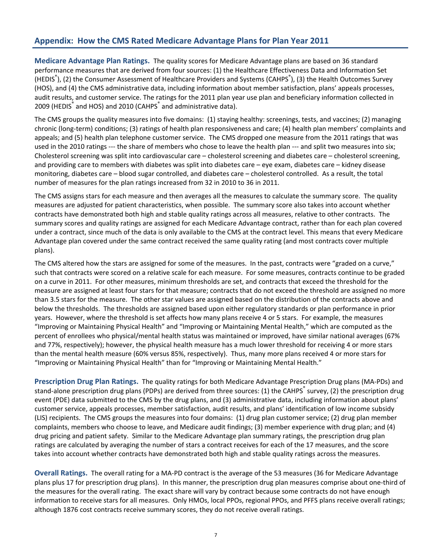#### **Appendix: How the CMS Rated Medicare Advantage Plans for Plan Year 2011**

**Medicare Advantage Plan Ratings.** The quality scores for Medicare Advantage plans are based on 36 standard performance measures that are derived from four sources: (1) the Healthcare Effectiveness Data and Information Set (HEDIS<sup>®</sup>), (2) the Consumer Assessment of Healthcare Providers and Systems (CAHPS<sup>®</sup>), (3) the Health Outcomes Survey (HOS), and (4) the CMS administrative data, including information about member satisfaction, plans' appeals processes, audit results, and customer service. The ratings for the 2011 plan year use plan and beneficiary information collected in 2009 (HEDIS<sup>®</sup> and HOS) and 2010 (CAHPS<sup>®</sup> and administrative data).

The CMS groups the quality measures into five domains: (1) staying healthy: screenings, tests, and vaccines; (2) managing chronic (long‐term) conditions; (3) ratings of health plan responsiveness and care; (4) health plan members' complaints and appeals; and (5) health plan telephone customer service. The CMS dropped one measure from the 2011 ratings that was used in the 2010 ratings --- the share of members who chose to leave the health plan --- and split two measures into six; Cholesterol screening was split into cardiovascular care – cholesterol screening and diabetes care – cholesterol screening, and providing care to members with diabetes was split into diabetes care – eye exam, diabetes care – kidney disease monitoring, diabetes care – blood sugar controlled, and diabetes care – cholesterol controlled. As a result, the total number of measures for the plan ratings increased from 32 in 2010 to 36 in 2011.

The CMS assigns stars for each measure and then averages all the measures to calculate the summary score. The quality measures are adjusted for patient characteristics, when possible. The summary score also takes into account whether contracts have demonstrated both high and stable quality ratings across all measures, relative to other contracts. The summary scores and quality ratings are assigned for each Medicare Advantage contract, rather than for each plan covered under a contract, since much of the data is only available to the CMS at the contract level. This means that every Medicare Advantage plan covered under the same contract received the same quality rating (and most contracts cover multiple plans).

The CMS altered how the stars are assigned for some of the measures. In the past, contracts were "graded on a curve," such that contracts were scored on a relative scale for each measure. For some measures, contracts continue to be graded on a curve in 2011. For other measures, minimum thresholds are set, and contracts that exceed the threshold for the measure are assigned at least four stars for that measure; contracts that do not exceed the threshold are assigned no more than 3.5 stars for the measure. The other star values are assigned based on the distribution of the contracts above and below the thresholds. The thresholds are assigned based upon either regulatory standards or plan performance in prior years. However, where the threshold is set affects how many plans receive 4 or 5 stars. For example, the measures "Improving or Maintaining Physical Health" and "Improving or Maintaining Mental Health," which are computed as the percent of enrollees who physical/mental health status was maintained or improved, have similar national averages (67% and 77%, respectively); however, the physical health measure has a much lower threshold for receiving 4 or more stars than the mental health measure (60% versus 85%, respectively). Thus, many more plans received 4 or more stars for "Improving or Maintaining Physical Health" than for "Improving or Maintaining Mental Health."

**Prescription Drug Plan Ratings.** The quality ratings for both Medicare Advantage Prescription Drug plans (MA‐PDs) and stand-alone prescription drug plans (PDPs) are derived from three sources: (1) the CAHPS® survey, (2) the prescription drug event (PDE) data submitted to the CMS by the drug plans, and (3) administrative data, including information about plans' customer service, appeals processes, member satisfaction, audit results, and plans' identification of low income subsidy (LIS) recipients. The CMS groups the measures into four domains: (1) drug plan customer service; (2) drug plan member complaints, members who choose to leave, and Medicare audit findings; (3) member experience with drug plan; and (4) drug pricing and patient safety. Similar to the Medicare Advantage plan summary ratings, the prescription drug plan ratings are calculated by averaging the number of stars a contract receives for each of the 17 measures, and the score takes into account whether contracts have demonstrated both high and stable quality ratings across the measures.

**Overall Ratings.** The overall rating for a MA‐PD contract is the average of the 53 measures (36 for Medicare Advantage plans plus 17 for prescription drug plans). In this manner, the prescription drug plan measures comprise about one‐third of the measures for the overall rating. The exact share will vary by contract because some contracts do not have enough information to receive stars for all measures. Only HMOs, local PPOs, regional PPOs, and PFFS plans receive overall ratings; although 1876 cost contracts receive summary scores, they do not receive overall ratings.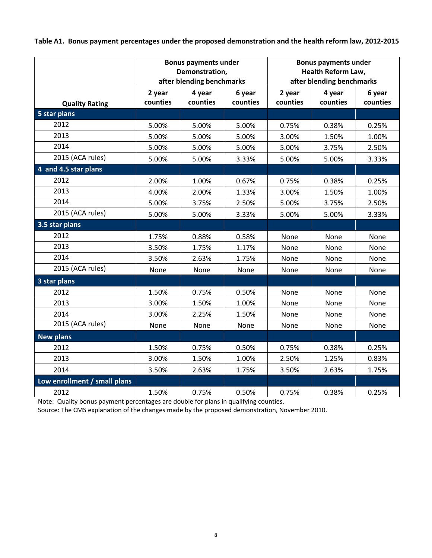Table A1. Bonus payment percentages under the proposed demonstration and the health reform law, 2012-2015

|                              |                    | <b>Bonus payments under</b><br>Demonstration,<br>after blending benchmarks |                    |                    | <b>Bonus payments under</b><br><b>Health Reform Law,</b><br>after blending benchmarks |                    |
|------------------------------|--------------------|----------------------------------------------------------------------------|--------------------|--------------------|---------------------------------------------------------------------------------------|--------------------|
| <b>Quality Rating</b>        | 2 year<br>counties | 4 year<br>counties                                                         | 6 year<br>counties | 2 year<br>counties | 4 year<br>counties                                                                    | 6 year<br>counties |
| 5 star plans                 |                    |                                                                            |                    |                    |                                                                                       |                    |
| 2012                         | 5.00%              | 5.00%                                                                      | 5.00%              | 0.75%              | 0.38%                                                                                 | 0.25%              |
| 2013                         | 5.00%              | 5.00%                                                                      | 5.00%              | 3.00%              | 1.50%                                                                                 | 1.00%              |
| 2014                         | 5.00%              | 5.00%                                                                      | 5.00%              | 5.00%              | 3.75%                                                                                 | 2.50%              |
| 2015 (ACA rules)             | 5.00%              | 5.00%                                                                      | 3.33%              | 5.00%              | 5.00%                                                                                 | 3.33%              |
| 4 and 4.5 star plans         |                    |                                                                            |                    |                    |                                                                                       |                    |
| 2012                         | 2.00%              | 1.00%                                                                      | 0.67%              | 0.75%              | 0.38%                                                                                 | 0.25%              |
| 2013                         | 4.00%              | 2.00%                                                                      | 1.33%              | 3.00%              | 1.50%                                                                                 | 1.00%              |
| 2014                         | 5.00%              | 3.75%                                                                      | 2.50%              | 5.00%              | 3.75%                                                                                 | 2.50%              |
| 2015 (ACA rules)             | 5.00%              | 5.00%                                                                      | 3.33%              | 5.00%              | 5.00%                                                                                 | 3.33%              |
| 3.5 star plans               |                    |                                                                            |                    |                    |                                                                                       |                    |
| 2012                         | 1.75%              | 0.88%                                                                      | 0.58%              | None               | None                                                                                  | None               |
| 2013                         | 3.50%              | 1.75%                                                                      | 1.17%              | None               | None                                                                                  | None               |
| 2014                         | 3.50%              | 2.63%                                                                      | 1.75%              | None               | None                                                                                  | None               |
| 2015 (ACA rules)             | None               | None                                                                       | None               | None               | None                                                                                  | None               |
| 3 star plans                 |                    |                                                                            |                    |                    |                                                                                       |                    |
| 2012                         | 1.50%              | 0.75%                                                                      | 0.50%              | None               | None                                                                                  | None               |
| 2013                         | 3.00%              | 1.50%                                                                      | 1.00%              | None               | None                                                                                  | None               |
| 2014                         | 3.00%              | 2.25%                                                                      | 1.50%              | None               | None                                                                                  | None               |
| 2015 (ACA rules)             | None               | None                                                                       | None               | None               | None                                                                                  | None               |
| <b>New plans</b>             |                    |                                                                            |                    |                    |                                                                                       |                    |
| 2012                         | 1.50%              | 0.75%                                                                      | 0.50%              | 0.75%              | 0.38%                                                                                 | 0.25%              |
| 2013                         | 3.00%              | 1.50%                                                                      | 1.00%              | 2.50%              | 1.25%                                                                                 | 0.83%              |
| 2014                         | 3.50%              | 2.63%                                                                      | 1.75%              | 3.50%              | 2.63%                                                                                 | 1.75%              |
| Low enrollment / small plans |                    |                                                                            |                    |                    |                                                                                       |                    |
| 2012                         | 1.50%              | 0.75%                                                                      | 0.50%              | 0.75%              | 0.38%                                                                                 | 0.25%              |

Note: Quality bonus payment percentages are double for plans in qualifying counties.

Source: The CMS explanation of the changes made by the proposed demonstration, November 2010.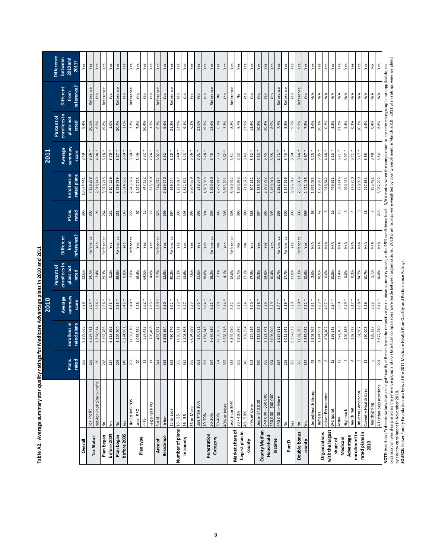|                         |                                                                                                                                                                                                                             |                 |              | 2010               |                            |                                        |               |                     | 2011                |                            |                                          |                              |
|-------------------------|-----------------------------------------------------------------------------------------------------------------------------------------------------------------------------------------------------------------------------|-----------------|--------------|--------------------|----------------------------|----------------------------------------|---------------|---------------------|---------------------|----------------------------|------------------------------------------|------------------------------|
|                         |                                                                                                                                                                                                                             |                 |              |                    | enrollees in<br>Percent of | <b>Different</b>                       |               |                     |                     | enrollees in<br>Percent of | <b>Different</b>                         | <b>Difference</b><br>between |
|                         |                                                                                                                                                                                                                             | Plans           | Enrollees in | summary<br>Average | plans not                  | from                                   | <b>Plans</b>  | <b>Enrollees</b> in | ynammary<br>Average | plans not                  | from                                     | 2010 and                     |
|                         |                                                                                                                                                                                                                             | rated           | rated plans  | score              | rated                      | reference?                             | rated         | rated plans         | score               | rated                      | reference?                               | 2011?                        |
| Overall                 |                                                                                                                                                                                                                             | 355             | 9,379,665    | 3.28               | 12.6%                      |                                        | 396           | 10,074,441          | 3.49                | 9.4%                       |                                          | Yes                          |
| <b>Tax Status</b>       | For Profit                                                                                                                                                                                                                  | 266             | 6,597,731    | 3.04               | 14.7%                      | Reference                              | 303           | 7,158,298           | 3.26                | 10.5%                      | Reference                                | Yes                          |
|                         | Not-for-Profit/Non-Profit                                                                                                                                                                                                   | $_{89}$         | 2,781,934    | 3.86               | 7.4%                       | Yes                                    | 93            | 2,916,143           | $4.06*$             | 6.5%                       |                                          | Yes                          |
| Plan began              | $\frac{\mathsf{o}}{\mathsf{e}}$                                                                                                                                                                                             | 218             | 3,263,766    | $2.96*$            | 29.3%                      | Reference                              | 264           | 3,970,215           | $3.18 *$            | 19.8%                      | Reference                                | Yes                          |
| before 2004             | Yes                                                                                                                                                                                                                         | 137             | 6,115,899    | 3.45               | 0.1%                       | Yes                                    | 132           | 6,104,226           | $3.70*$             | 1.0%                       |                                          | Yes                          |
| Plan began              | ş                                                                                                                                                                                                                           | 206             | 3,104,704    | $2.95*$            | 29.6%                      | Reference                              | 251           | 3,759,789           | $3.17*$             | 20.7%                      | Reference                                | Yes                          |
| before 2005             | Yes                                                                                                                                                                                                                         | 149             | 6,274,961    | 3.45               | 0.8%                       | Yes                                    | 145           | 6,314,652           | $3.69 *$            | 1.0%                       |                                          | Yes                          |
|                         | HMO/HMOPOS                                                                                                                                                                                                                  | 263             | 7,069,030    | $3.40*$            | 2.0%                       | Reference                              | 272           | 7,243,626           | $3.60*$             | 2.3%                       | Reference                                | Yes                          |
|                         | Local PPO                                                                                                                                                                                                                   | $70\,$          | 1,063,794    | 3.28               | 16.4%                      | Yes                                    | $67$          | 1,257,723           | 3.49                | 7.8%                       | Yes                                      | Yes                          |
| Plan type               | PFFS                                                                                                                                                                                                                        | $\Xi$           | 537,433      | 2.62               | 64.5%                      | Yes                                    | 15            | 747,132             | $3.32 *$            | 50.4%                      | Yes                                      | Yes                          |
|                         | Regional PPO                                                                                                                                                                                                                | $\Xi$           | 709,408      | 2.63               | 4.0%                       | Yes                                    | $12$          | 825,960             | $2.76*$             | 1.5%                       | Yes                                      | Yes                          |
| <b>Area of</b>          | Rural                                                                                                                                                                                                                       | 341             | 483,771      | 2.89               | 7.7%                       | Reference                              | 376           | 514,671             | $3.02 *$            | 6.2%                       | Reference                                | Yes                          |
| Residence               | Urban                                                                                                                                                                                                                       | 355             | 8,895,894    | 3.30               | 12.9%                      | Yes                                    | 396           | 9,559,770           | 3.52                | 9.6%                       | Yes                                      | Yes                          |
|                         | 15 or Less                                                                                                                                                                                                                  | 352             | 790,170      | 3.02               | 30.2%                      | Reference                              | 394           | 929,244             | 3.25                | 21.8%                      | Reference                                | Yes                          |
| Number of plans 16 - 25 |                                                                                                                                                                                                                             | 355             | 1,085,911    | 3.23               | 21.3%                      | Yes                                    | 396           | 1,238,017           | $3.40*$             | 13.9%                      | Yes                                      | Yes                          |
| in county               | $26 - 35$                                                                                                                                                                                                                   | 354             | 1,408,895    | 3.27               | 13.6%                      | Yes                                    | 395           | 1,542,521           | $3.43 *$            | 9.1%                       | Yes                                      | Yes                          |
|                         | 36 or More                                                                                                                                                                                                                  | 355             | 6,094,689    | 3.33               | 7.6%                       | Yes                                    | 396           | 6,364,659           | $3.56*$             | 6.3%                       | Yes                                      | Yes                          |
|                         | Less than 10%                                                                                                                                                                                                               |                 | 270,011      | 2.75               | 31.8%                      | Yes                                    | 393           | 318,570             | $3.01*$             | 23.6%                      | Yes                                      | Yes                          |
| Penetration             | 10-20%                                                                                                                                                                                                                      | 353             | 1,266,343    | 3.04               | 28.6%                      | Yes                                    | 394           | 1,509,383           | $3.28$ *            | 19.5%                      | Yes                                      | Yes                          |
|                         | 20-30%                                                                                                                                                                                                                      | 354             | 1,636,830    | 3.21               | 18.2%                      | Reference                              | 395           | 1,820,810           | 3.45                | 12.6%                      | Reference                                | Yes                          |
| Category                | 30-40%                                                                                                                                                                                                                      | 354             | 2,638,363    | 3.29               | 7.3%                       | $\mathrel{\mathop{\text{g}}\nolimits}$ | 396           | 2,732,417           | 3.53                | 6.7%                       | $\frac{1}{2}$                            | Yes                          |
|                         | 40% or More                                                                                                                                                                                                                 | 355             | 3,568,118    | 3.44               | 4.1%                       | Yes                                    | 396           | 3,693,261           | 3.62                | 3.3%                       | Yes                                      | Yes                          |
| Market share of         | Less than 30%                                                                                                                                                                                                               | 355             | 6,392,950    | 3.32               | 12.0%                      | Reference                              | 396           | 6,910,922           | 3.51                | 8.2%                       | Reference                                | Yes                          |
| largest plan in         | $-40%$                                                                                                                                                                                                                      | 355             | 1,808,896    | 3.25               | 11.7%                      | $\frac{1}{2}$                          | 396           | 1,936,992           | 3.52                | 8.7%                       | $\frac{1}{2}$                            | Yes                          |
| county                  | $40 - 50%$                                                                                                                                                                                                                  | 345             | 703,354      | 3.24               | 17.1%                      | $\frac{1}{2}$                          | 389           | 719,375             | 3.42                | 17.9%                      | Yes                                      | Yes                          |
|                         | 50% of More                                                                                                                                                                                                                 | 346             | 474,439      | 3.00               | 17.3%                      | Yes                                    | 388           | 507,152             | 3.32                | 14.6%                      | Yes                                      | Yes                          |
| County Median           | Under \$40,000                                                                                                                                                                                                              | 350             | 1,213,383    | 2.98               | 15.3%                      | Yes                                    | 394           | 1,339,022           | $3.13 *$            | 10.8%                      | Yes                                      | Yes                          |
| Household               | 000/05\$-000/04\$                                                                                                                                                                                                           | 355             | 3,121,771    | 3.26               | 14.8%                      | Yes                                    | 396           | 3,393,792           | 3.45                | 10.4%                      | $Y \overline{e}$ s                       | Yes                          |
| Income                  | \$50,000 - \$60,000                                                                                                                                                                                                         | 354             | 3,006,900    | 3.29               | 10.4%                      | Yes                                    | 395           | 3,159,013           | 3.55                | 8.9%                       | Yes                                      | Yes                          |
|                         | \$60,000 or More                                                                                                                                                                                                            | 354             | 2,037,611    | 3.47               | 10.7%                      | Reference                              | 395           | 2,182,614           | $3.71 *$            | 7.7%                       | Reference                                | Yes                          |
| Part D                  | $\frac{1}{2}$                                                                                                                                                                                                               | 265             | 1,012,642    | 3.19               | 17.7%                      | Reference                              | 300           | 1,147,529           | 3.43                | 8.8%                       | Reference                                | Yes                          |
|                         | Yes                                                                                                                                                                                                                         | 355             | 8,367,023    | 3.29               | 12.0%                      | Yes                                    | 396           | 8,926,912           | 3.50                | 9.5%                       | Yes                                      | Yes                          |
| Double bonus            | $\frac{1}{2}$                                                                                                                                                                                                               | 355             | 7,092,583    | 3.20               | 13.3%                      | Reference                              | 396           | 7,652,006           | $3.44$ *            | 9.9%                       | Reference                                | Yes                          |
| county                  | Yes                                                                                                                                                                                                                         | 354             | 2,287,082    | 3.52               | 10.6%                      | Yes                                    | 396           | 2,422,435           | $3.67 *$            | 7.9%                       | Yes                                      | Yes                          |
|                         | United Health Group                                                                                                                                                                                                         | $\mathtt{G}$    | 1,908,762    | 2.91               | 2.6%                       | $\frac{4}{\sqrt{2}}$                   | $\mathsf{68}$ | 1,971,031           | $3.25$ *            | 3.6%                       | $\stackrel{\triangle}{\geq}$             | Yes                          |
| Organizations           | Humana                                                                                                                                                                                                                      | $\mathfrak{L}$  | 1,174,951    | 2.83               | 30.0%                      | $\frac{4}{\sqrt{2}}$                   | 42            | 1,258,937           | $3.05*$             | 26.3%                      | $\frac{4}{\sqrt{2}}$                     | Yes                          |
| with the largest        | Kaiser Permanente                                                                                                                                                                                                           | $\circ$         | 894,402      | 4.07               | 0.0%                       | $\frac{4}{\sqrt{2}}$                   | Lņ            | 918,842             | $4.48 *$            | 0.2%                       | $\frac{4}{\sqrt{2}}$                     | Yes                          |
| share of                | Wellpoint                                                                                                                                                                                                                   | $\overline{15}$ | 396,245      | 2.84               | 10.8%                      | $_{\mathsf{N}/\mathsf{A}}$             | 16            | 449,811             | $3.13 *$            | 3.3%                       | N/A                                      | Yes                          |
| Medicare                | Aetna                                                                                                                                                                                                                       | $\overline{1}$  | 322,103      | 3.30               | 23.4%                      | $\frac{4}{\sqrt{2}}$                   | 15            | 329,146             | $3.71 *$            | 21.3%                      | N/A                                      | Yes                          |
| Advantage               | Highmark                                                                                                                                                                                                                    | 4               | 300,186      | $3.79 *$           | 0.0%                       | $\stackrel{\leq}{\geq}$                | $\omega$      | 290,451             | $3.97*$             | 5.4%                       | $\mathsf{N}/\mathsf{A}$                  | Yes                          |
| enrollment in           | Health Net                                                                                                                                                                                                                  | 4               | 269,717      | $3.17 *$           | 0.3%                       | $\stackrel{\leq}{\geq}$                | 4             | 276,250             | $3.41 *$            | 0.3%                       | $\stackrel{\triangle}{\scriptstyle\sim}$ | Yes                          |
| rated plans in          | Universal American                                                                                                                                                                                                          | S               | 61,907       | 2.88               | 74.7%                      | $\frac{4}{\sqrt{2}}$                   | S             | 228,899             | 3.17                | 10.2%                      | $\stackrel{\triangle}{\geq}$             | Yes                          |
| 2010                    | Coventry Health Care                                                                                                                                                                                                        | $\mathfrak{1}$  | 190,005      | 3.26               | 10.7%                      | $\frac{4}{\sqrt{2}}$                   | $^{26}$       | 217,861             | 3.55                | 1.4%                       | $\frac{1}{N}$                            | Yes                          |
|                         | HealthSpring                                                                                                                                                                                                                | $\circ$         | 189,137      | 3.32               | 1.7%                       | $\frac{4}{\sqrt{2}}$                   |               | 195,421             | 3.48                | 0.4%                       | $\frac{4}{\sqrt{2}}$                     | $\frac{1}{2}$                |
|                         | All Other organizations                                                                                                                                                                                                     | $201\,$         | 3,672,250    | 3.44               | $10.8\%$                   | N/A                                    | 213           | 3,937,792           | 3.54                | 8.6%                       | $\mathsf{N}/\mathsf{A}$                  | Yes                          |
|                         | NOTE: Asterisks (*) denote values that are significantly different from the respective year's mean summary score, at the 95% confidence level. N/A denotes when the comparison to the reference group is not applicable; no |                 |              |                    |                            |                                        |               |                     |                     |                            |                                          |                              |

Table A2. Average summary star quality ratings for Medicare Advantage plans in 2010 and 2011 **Table A2. Average summary star quality ratings for Medicare Advantage plans in 2010 and 2011**

**SOURCE:** Kaiser Family Foundation analysis of the 2011 Medicare Health Plan Quali ty and Performance Ratings.

organization was designated as the reference group and no statistical comparisons were noganizations. 2010 plan ratings were weighted by county enrollment in March 2010. 2011 plan ratings were weighted<br>by county enrollment organization was designated as the reference group and no statistical comparisons were made between organizations. 2010 plan ratings were weighted by county enrollment in March 2010. 2011 plan ratings were weighted by county enrollment in November 2010.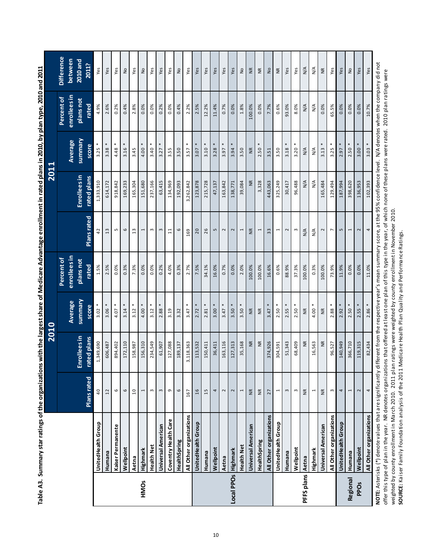|                 |                                                                                                                                                                                                                                                      |                      | 2010                       |                    |                    |                    | 2011                        |                  |                                                                                                                           |                                             |
|-----------------|------------------------------------------------------------------------------------------------------------------------------------------------------------------------------------------------------------------------------------------------------|----------------------|----------------------------|--------------------|--------------------|--------------------|-----------------------------|------------------|---------------------------------------------------------------------------------------------------------------------------|---------------------------------------------|
|                 |                                                                                                                                                                                                                                                      |                      |                            |                    | Percent of         |                    |                             |                  | Percent of                                                                                                                | <b>Difference</b>                           |
|                 |                                                                                                                                                                                                                                                      |                      |                            | <b>Average</b>     | enrollees in       |                    |                             | Average          | enrollees in                                                                                                              | between                                     |
|                 |                                                                                                                                                                                                                                                      | <b>Plans rated</b>   | Emollees in<br>rated plans | summary<br>score   | plans not<br>rated | <b>Plans rated</b> | Enrollees in<br>rated plans | summary<br>score | plans not<br>rated                                                                                                        | 2010 and<br>2011?                           |
|                 | UnitedHealth Group                                                                                                                                                                                                                                   | 40                   | 1,349,690                  | 3.02               | 1.5%               | 42                 | 1,333,910                   | 3.25             | 4.9%                                                                                                                      | Yes                                         |
|                 | Humana                                                                                                                                                                                                                                               | 12                   | 606,487                    | 3.06               | 2.5%               | 13                 | 614,172                     | 3.38             | 2.6%                                                                                                                      | Yes                                         |
|                 | Kaiser Permanente                                                                                                                                                                                                                                    | 6                    | 894,402                    | 4.07               | 0.0%               | m                  | 918,842                     | 4.48             | 0.2%                                                                                                                      | Yes                                         |
|                 | Wellpoint                                                                                                                                                                                                                                            | $\mathbf \omega$     | 172,110                    | 3.14               | 0.3%               | $\circ$            | 169,233                     | 3.16             | 0.4%                                                                                                                      | ş                                           |
|                 | Aetna                                                                                                                                                                                                                                                | $\overline{10}$      | 158,987                    | 3.12               | 7.3%               | $\frac{3}{2}$      | 165,304                     | 3.45             | 2.8%                                                                                                                      | Yes                                         |
| HMOs            | Highmark                                                                                                                                                                                                                                             | 1                    | 156,310                    | 4.00               | 0.0%               | 1                  | 151,680                     | 4.00             | 0.0%                                                                                                                      | ş                                           |
|                 | <b>Health Net</b>                                                                                                                                                                                                                                    | $\,$                 | 234,549                    | 3.12               | 0.0%               | E                  | 237,166                     | 3.40             | 0.0%                                                                                                                      | Yes                                         |
|                 | Universal American                                                                                                                                                                                                                                   | $\,$ $\,$            | 61,907                     | 2.88               | 0.2%               | $\mathsf m$        | 63,415                      | 3.27             | 0.2%                                                                                                                      | Yes                                         |
|                 | Coventry Health Care                                                                                                                                                                                                                                 | G                    | 127,088                    | 3.19               | 4.0%               | $\Xi$              | 134,969                     | 3.55             | 0.0%                                                                                                                      | Yes                                         |
|                 | HealthSpring                                                                                                                                                                                                                                         | $\mathbf \omega$     | 189,137                    | 3.32               | 0.3%               | $\circ$            | 192,093                     | 3.50             | 0.4%                                                                                                                      | ş                                           |
|                 | All Other organizations                                                                                                                                                                                                                              | 167                  | 3,118,363                  | 3.47               | 2.7%               | 169                | 3,262,842                   | 3.57             | 2.2%                                                                                                                      | Yes                                         |
|                 | UnitedHealth Group                                                                                                                                                                                                                                   | 16                   | 113,532                    | 2.72               | 7.5%               | 20                 | 123,878                     | 3.07             | 2.5%                                                                                                                      | Yes                                         |
|                 | Humana                                                                                                                                                                                                                                               | 15                   | 150,411                    | 2.81               | 34.1%              | 26                 | 215,728                     | 3.10             | 12.2%                                                                                                                     | Yes                                         |
|                 | Wellpoint                                                                                                                                                                                                                                            | 4                    | 36,411                     | $3.00*$            | 16.0%              | LN                 | 47,137                      | 3.28             | 11.4%                                                                                                                     | Yes                                         |
|                 | Aetna                                                                                                                                                                                                                                                | $\mathbf{\tilde{z}}$ | 163,116                    | 3.47               | 0.7%               | 2                  | 163,842                     | 3.97             | 0.7%                                                                                                                      | Yes                                         |
| Local PPOs      | Highmark                                                                                                                                                                                                                                             | $\sim$               | 127,313                    | 3.50               | 0.0%               | $\mathbf{\Omega}$  | 138,771                     | 3.94             | 0.0%                                                                                                                      | Yes                                         |
|                 | <b>Health Net</b>                                                                                                                                                                                                                                    | $\overline{ }$       | 35,168                     | 3.50               | 2.0%               | ſ                  | 39,084                      | 3.50             | 1.8%                                                                                                                      | $\mathrel{\mathop{\underline{\mathsf{e}}}}$ |
|                 | Universal American                                                                                                                                                                                                                                   | $\widetilde{\Xi}$    | $\widetilde{\mathsf{K}}$   | $\frac{\kappa}{2}$ | 100.0%             | £                  | ž                           | $\frac{R}{N}$    | 100.0%                                                                                                                    | $\frac{R}{N}$                               |
|                 | HealthSpring                                                                                                                                                                                                                                         | $\widetilde{\Xi}$    | ξ                          | $\frac{\kappa}{2}$ | 100.0%             | 1                  | 3,328                       | 2.50             | 0.0%                                                                                                                      | E                                           |
|                 | All Other organizations                                                                                                                                                                                                                              | 27                   | 374,926                    | 3.47               | 16.6%              | 33                 | 443,063                     | 3.51             | 7.7%                                                                                                                      | ş                                           |
|                 | UnitedHealth Group                                                                                                                                                                                                                                   | 1                    | 304,591                    | $2.50*$            | 0.6%               | 1                  | 325,249                     | 3.50             | 0.6%                                                                                                                      | E                                           |
|                 | Humana                                                                                                                                                                                                                                               | $\,$ $\,$            | 51,343                     | 2.55               | 88.9%              | $\sim$             | 30,417                      | 3.18             | 93.0%                                                                                                                     | Yes                                         |
|                 | Wellpoint                                                                                                                                                                                                                                            | S                    | 68,409                     | 2.50               | 37.3%              | $\omega$           | 96,488                      | 3.20             | 8.0%                                                                                                                      | Yes                                         |
| PFFS plans      | Aetna                                                                                                                                                                                                                                                | $\frac{\kappa}{2}$   | ξ                          | $\widetilde{\Xi}$  | 100.0%             | ≸                  | $\frac{4}{2}$               | $\frac{4}{2}$    | $\frac{4}{5}$                                                                                                             | $\frac{4}{5}$                               |
|                 | Highmark                                                                                                                                                                                                                                             | $\overline{ }$       | 16,563                     | 4.00               | 0.3%               | ⋚                  | $\frac{4}{2}$               | $\frac{4}{2}$    | $\frac{4}{5}$                                                                                                             | $\frac{4}{5}$                               |
|                 | Universal American                                                                                                                                                                                                                                   | $\widetilde{\Xi}$    | ξ                          | Ξ                  | 100.0%             | 2                  | 165,484                     | 3.13             | 0.0%                                                                                                                      | $\widetilde{\Xi}$                           |
|                 | All Other organizations                                                                                                                                                                                                                              | $\omega$             | 96,527                     | $\ast$<br>2.88     | 73.9%              | $\overline{ }$     | 129,494                     | 3.25             | 65.5%                                                                                                                     | Yes                                         |
|                 | UnitedHealth Group                                                                                                                                                                                                                                   | 4                    | 140,949                    | $2.92 *$           | 11.9%              | 5                  | 187,994                     | 2.97             | 0.0%                                                                                                                      | Yes                                         |
| <b>Regional</b> | Humana                                                                                                                                                                                                                                               | Ţ                    | 366,710                    | $2.50*$            | 0.0%               | 1                  | 398,620                     | $2.50 *$         | 0.0%                                                                                                                      | ş                                           |
| <b>PPOs</b>     | Wellpoint                                                                                                                                                                                                                                            | $\sim$               | 119,315                    | $2.55 *$           | 0.0%               | 2                  | 136,953                     | $3.00*$          | 0.0%                                                                                                                      | Yes                                         |
|                 | All Other organizations                                                                                                                                                                                                                              | 4                    | 82,434                     | $2.86 *$           | 11.0%              | 4                  | 102,393                     | $3.03 *$         | 10.7%                                                                                                                     | Yes                                         |
|                 | offer this type of plan in the year. NR denotes organizations that offered at least one plan of this type in the year, of which none of these plans were rated. 2010 plan ratings were<br>NOTE: Asterisks (*) denote values that are significantly d |                      |                            |                    |                    |                    |                             |                  | ifferent from the respective year's mean summary score, at the 95% confidence level. N/A denotes when the company did not |                                             |

Table A3. Summary star ratings of the organizations with the largest share of Medicare Advantage enrollment in rated plans in 2010, by plan type, 2010 and 2011 Table A3. Summary star ratings of the organizations with the largest share of Medicare Advantage enrollment in rated plans in 2010, by plan type, 2010 and 2011

weighted by county enrollment in March 2010. 2011 plan ratings were weighted by county enrollment in November 2010.<br>SOURCE: Kaiser Family Foundation analysis of the 2011 Medicare Health Plan Quality and Performance Ratings weighted by county enrollment in March 2010. 2011 plan ratings were weighted by county enrollment in November 2010. **SOURCE:** Kaiser Family Foundation analysis of the 2011 Medicare Health Plan Quality and Performance Ratings.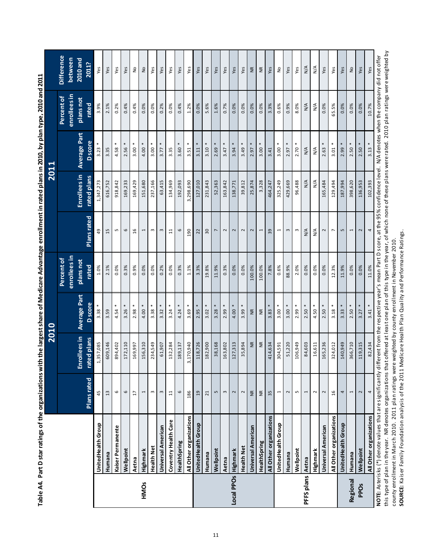|                         |                                                                                                                                                                                                                        |                    |                   | 2010                |                            |                          | <b>2011</b>          |                     |                            |                              |
|-------------------------|------------------------------------------------------------------------------------------------------------------------------------------------------------------------------------------------------------------------|--------------------|-------------------|---------------------|----------------------------|--------------------------|----------------------|---------------------|----------------------------|------------------------------|
|                         |                                                                                                                                                                                                                        |                    |                   |                     | enrollees in<br>Percent of |                          |                      |                     | enrollees in<br>Percent of | <b>Difference</b><br>between |
|                         |                                                                                                                                                                                                                        |                    | Enrollees in      | <b>Average Part</b> | plans not                  |                          | <b>Enrollees</b> in  | <b>Average Part</b> | plans not                  | 2010 and                     |
|                         |                                                                                                                                                                                                                        | <b>Plans</b> rated | rated plans       | <b>D</b> score      | rated                      | <b>Plans</b> rated       | rated plans          | <b>D</b> score      | rated                      | 2011?                        |
|                         | UnitedHealth Group                                                                                                                                                                                                     | 45                 | 1,357,085         | 3.38                | 1.0%                       | 49                       | 1,347,273            | 3.23                | 3.9%                       | Yes                          |
|                         | Humana                                                                                                                                                                                                                 | 13                 | 609,146           | 3.59                | 2.1%                       | 15                       | 616,752              | 3.35                | 2.1%                       | Yes                          |
|                         | Kaiser Permanente                                                                                                                                                                                                      | 6                  | 894,402           | $\ast$<br>4.54      | 0.0%                       | S                        | 918,842              | 4.58                | 0.2%                       | Yes                          |
|                         | Wellpoint                                                                                                                                                                                                              | $\mathbf \omega$   | 172,110           | 3.26                | 0.3%                       | 6                        | 169,233              | 2.56                | 0.4%                       | Yes                          |
|                         | Aetna                                                                                                                                                                                                                  | $\overline{17}$    | 169,997           | 2.98                | 0.9%                       | 16                       | 169,429              | 3.00                | 0.4%                       | $\frac{1}{2}$                |
| HMOS                    | Highmark                                                                                                                                                                                                               | I                  | 156,310           | 4.00                | 0.0%                       | I                        | 151,680              | 4.00                | 0.0%                       | $\frac{1}{2}$                |
|                         | <b>Health Net</b>                                                                                                                                                                                                      | $\,$ $\,$          | 234,549           | 3.38                | 0.0%                       | $\omega$                 | 237,166              | 3.00                | 0.0%                       | Yes                          |
|                         | <b>Universal American</b>                                                                                                                                                                                              | $\mathsf m$        | 61,907            | 3.32                | 0.2%                       | $\omega$                 | 63,415               | 3.77                | 0.2%                       | Yes                          |
|                         | Coventry Health Care                                                                                                                                                                                                   | $\frac{1}{1}$      | 132,284           | 3.24                | 0.0%                       | $\Xi$                    | 134,969              | 3.35                | 0.0%                       | Yes                          |
|                         | HealthSpring                                                                                                                                                                                                           | 6                  | 189,137           | 4.24                | 0.3%                       | 6                        | 192,093              | 3.60                | 0.4%                       | Yes                          |
|                         | All Other organizations                                                                                                                                                                                                | 186                | 3,170,940         | 3.69                | 1.1%                       | 190                      | 3,298,690            | 3.51                | 1.2%                       | Yes                          |
|                         | UnitedHealth Group                                                                                                                                                                                                     | 19                 | 118,726           | 2.95                | 3.3%                       | 22                       | 127,010              | $\ast$<br>3.11      | 0.0%                       | Yes                          |
|                         | Humana                                                                                                                                                                                                                 | 21                 | 182,900           | 3.02                | 19.8%                      | 30                       | 231,843              | 3.10                | 5.6%                       | Yes                          |
|                         | Wellpoint                                                                                                                                                                                                              | S                  | 38,168            | 3.28                | 11.9%                      | $\overline{ }$           | 52,363               | 2.69                | 1.6%                       | Yes                          |
|                         | Aetna                                                                                                                                                                                                                  | $\omega$           | 163,802           | $2.99 *$            | 0.3%                       | 2                        | 163,842              | $3.47 *$            | 0.7%                       | Yes                          |
| Local PPOs Highmark     |                                                                                                                                                                                                                        | 2                  | 127,313           | $4.00*$             | 0.0%                       | $\sim$                   | 138,771              | 3.94                | 0.0%                       | Yes                          |
|                         | <b>Health Net</b>                                                                                                                                                                                                      | $\sim$             | 35,894            | 3.99                | 0.0%                       | $\sim$                   | 39,812               | 3.49                | 0.0%                       | Yes                          |
|                         | <b>Universal American</b>                                                                                                                                                                                              | $\widetilde{\Xi}$  | $\widetilde{\Xi}$ | $\widetilde{\Xi}$   | 100.0%                     | $\sim$                   | 25,874               | 2.97                | 0.0%                       | $\frac{\kappa}{2}$           |
|                         | HealthSpring                                                                                                                                                                                                           | £                  | $\widetilde{\Xi}$ | $\widetilde{\Xi}$   | 100.0%                     | 1                        | 3,328                | $\ast$<br>3.00      | 0.0%                       | $\widetilde{\Xi}$            |
|                         | All Other organizations                                                                                                                                                                                                | 35                 | 414,634           | 3.83                | 7.8%                       | 39                       | 464,247              | 3.41                | 3.3%                       | Yes                          |
|                         | UnitedHealth Group                                                                                                                                                                                                     | 1                  | 304,591           | $3.00*$             | 0.6%                       | $\overline{\phantom{0}}$ | 325,249              | 3.00                | 0.6%                       | ş                            |
|                         | Humana                                                                                                                                                                                                                 | $\sim$             | 51,220            | $3.00*$             | 88.9%                      | $\omega$                 | 429,669              | 2.97                | 0.9%                       | Yes                          |
|                         | Wellpoint                                                                                                                                                                                                              | S                  | 106,949           | $2.99 *$            | 2.0%                       | $\,$ $\,$                | 96,488               | $2.70*$             | 8.0%                       | Yes                          |
| <b>PFFS plans Aetna</b> |                                                                                                                                                                                                                        | I                  | 84,603            | $2.50*$             | 0.0%                       | $\mathsf{N}/\mathsf{A}$  | $\frac{4}{\sqrt{2}}$ | N/A                 | N/A                        | N/A                          |
|                         | Highmark                                                                                                                                                                                                               | $\sim$             | 16,611            | 4.50                | 0.0%                       | $\frac{4}{\sqrt{2}}$     | $\frac{4}{\sqrt{2}}$ | $\frac{4}{2}$       | $\frac{4}{\sqrt{2}}$       | $\frac{4}{2}$                |
|                         | Universal American                                                                                                                                                                                                     | $\sim$             | 165,236           | 2.50                | 0.0%                       | $\sim$                   | 165,484              | 2.63                | 0.0%                       | Yes                          |
|                         | All Other organizations                                                                                                                                                                                                | 16                 | 324,012           | 3.18                | 12.3%                      | r,                       | 129,494              | 3.01                | 65.5%                      | Yes                          |
|                         | UnitedHealth Group                                                                                                                                                                                                     | 4                  | 140,949           | 3.33                | 11.9%                      | 5                        | 187,994              | 2.99                | 0.0%                       | Yes                          |
| Regional                | Humana                                                                                                                                                                                                                 | Ţ                  | 366,710           | $2.50 *$            | 0.0%                       | ſ                        | 398,620              | $2.50 *$            | 0.0%                       | Ş                            |
| <b>PPOs</b>             | Wellpoint                                                                                                                                                                                                              | $\sim$             | 119,315           | $3.27 *$            | 0.0%                       | $\sim$                   | 136,953              | $2.50 *$            | 0.0%                       | Yes                          |
|                         | All Other organizations                                                                                                                                                                                                | 4                  | 82,434            | $3.41 *$            | 11.0%                      | 4                        | 102,393              | $3.13 *$            | 10.7%                      | Yes                          |
|                         | NOTE: Asterisks (*) denote values that are significantly different from the respective year's mean Part D score, at the 95% confidence level. N/A denotes when the company did not offer                               |                    |                   |                     |                            |                          |                      |                     |                            |                              |
|                         | this type of plan in the year. NR denotes organizations that offered at least one plan of this type in the year, of which none of these plans were rated. 2010 plan ratings were weighted by                           |                    |                   |                     |                            |                          |                      |                     |                            |                              |
|                         | SOURCE: Kaiser Family Foundation analysis of the 2011 Medicare Health Plan Quality and Performance Ratings.<br>county enrollment in March 2010. 2011 plan ratings were weighted by county enrollment in November 2010. |                    |                   |                     |                            |                          |                      |                     |                            |                              |

| $\ddot{\phantom{a}}$                                                                           |
|------------------------------------------------------------------------------------------------|
| l                                                                                              |
| ֧֧֧ׅ֧ׅ֧֧֧֦֧֧֧֧֧֧֦֧֧֧֧֧֧֧֧֧֧֚֚֚֚֚֚֚֚֚֚֚֚֚֚֚֚֚֝֝֓֜֜֓֝֓֝֓֜֜֜֜֓֜֜֜֜֜֜<br>֧֧֧֛֧֛֧֛֧֛֧֛֪֛֚֚֚֚֜֜֜֜֜֜֜ |
|                                                                                                |
|                                                                                                |
|                                                                                                |
|                                                                                                |
|                                                                                                |
| י                                                                                              |
|                                                                                                |
|                                                                                                |
|                                                                                                |
|                                                                                                |
|                                                                                                |
|                                                                                                |
|                                                                                                |
|                                                                                                |
|                                                                                                |
|                                                                                                |
|                                                                                                |
|                                                                                                |
|                                                                                                |
|                                                                                                |
|                                                                                                |
|                                                                                                |
|                                                                                                |
|                                                                                                |
|                                                                                                |
|                                                                                                |
|                                                                                                |
|                                                                                                |
|                                                                                                |
|                                                                                                |
|                                                                                                |
|                                                                                                |
|                                                                                                |
|                                                                                                |
|                                                                                                |
|                                                                                                |
|                                                                                                |
| :                                                                                              |
|                                                                                                |
|                                                                                                |
| ֖֧֧֧֪֚֚֚֚֚֚֚֚֚֚֚֚֚֚֚֚֚֚֚֚֚֚֚֚֚֚֚֚֬֡֡֝֓֝֓֝֓֞֡֡֡֓                                                |
| ı<br>ī                                                                                         |
|                                                                                                |
|                                                                                                |
| I                                                                                              |
|                                                                                                |
|                                                                                                |
|                                                                                                |
| ׇ֠֕֡                                                                                           |
|                                                                                                |
|                                                                                                |
|                                                                                                |
|                                                                                                |
| Í<br>I                                                                                         |
|                                                                                                |
| l                                                                                              |
|                                                                                                |
| ţ                                                                                              |
| i<br>Í                                                                                         |
| I                                                                                              |